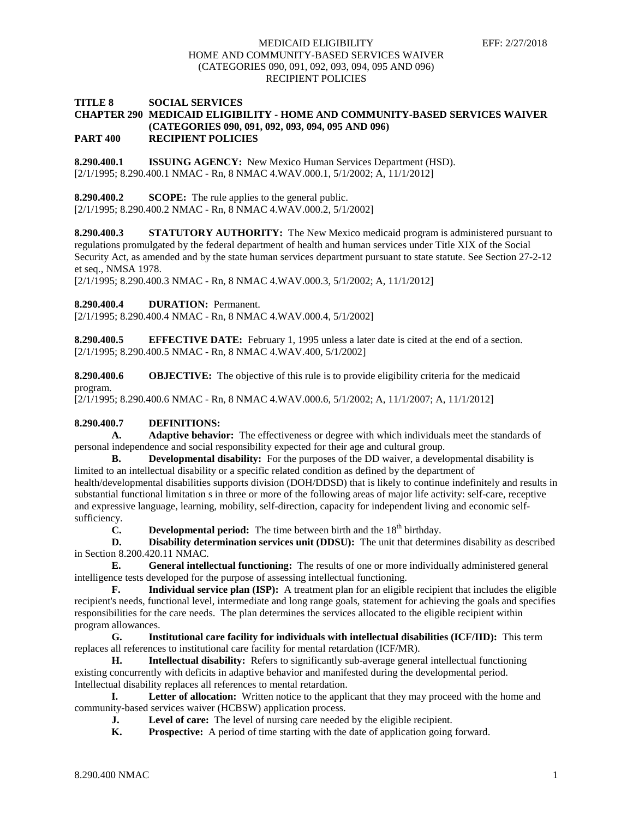# **TITLE 8 SOCIAL SERVICES CHAPTER 290 MEDICAID ELIGIBILITY - HOME AND COMMUNITY-BASED SERVICES WAIVER (CATEGORIES 090, 091, 092, 093, 094, 095 AND 096) PART 400 RECIPIENT POLICIES**

**8.290.400.1 ISSUING AGENCY:** New Mexico Human Services Department (HSD). [2/1/1995; 8.290.400.1 NMAC - Rn, 8 NMAC 4.WAV.000.1, 5/1/2002; A, 11/1/2012]

**8.290.400.2 SCOPE:** The rule applies to the general public. [2/1/1995; 8.290.400.2 NMAC - Rn, 8 NMAC 4.WAV.000.2, 5/1/2002]

**8.290.400.3 STATUTORY AUTHORITY:** The New Mexico medicaid program is administered pursuant to regulations promulgated by the federal department of health and human services under Title XIX of the Social Security Act, as amended and by the state human services department pursuant to state statute. See Section 27-2-12 et seq., NMSA 1978.

[2/1/1995; 8.290.400.3 NMAC - Rn, 8 NMAC 4.WAV.000.3, 5/1/2002; A, 11/1/2012]

**8.290.400.4 DURATION:** Permanent.

[2/1/1995; 8.290.400.4 NMAC - Rn, 8 NMAC 4.WAV.000.4, 5/1/2002]

**8.290.400.5 EFFECTIVE DATE:** February 1, 1995 unless a later date is cited at the end of a section. [2/1/1995; 8.290.400.5 NMAC - Rn, 8 NMAC 4.WAV.400, 5/1/2002]

**8.290.400.6 OBJECTIVE:** The objective of this rule is to provide eligibility criteria for the medicaid program.

[2/1/1995; 8.290.400.6 NMAC - Rn, 8 NMAC 4.WAV.000.6, 5/1/2002; A, 11/1/2007; A, 11/1/2012]

# **8.290.400.7 DEFINITIONS:**

**A. Adaptive behavior:** The effectiveness or degree with which individuals meet the standards of personal independence and social responsibility expected for their age and cultural group.

**B. Developmental disability:** For the purposes of the DD waiver, a developmental disability is limited to an intellectual disability or a specific related condition as defined by the department of health/developmental disabilities supports division (DOH/DDSD) that is likely to continue indefinitely and results in substantial functional limitation s in three or more of the following areas of major life activity: self-care, receptive and expressive language, learning, mobility, self-direction, capacity for independent living and economic selfsufficiency.

**C. Developmental period:** The time between birth and the  $18<sup>th</sup>$  birthday.

**D. Disability determination services unit (DDSU):** The unit that determines disability as described in Section 8.200.420.11 NMAC.

**E. General intellectual functioning:** The results of one or more individually administered general intelligence tests developed for the purpose of assessing intellectual functioning.

**F. Individual service plan (ISP):** A treatment plan for an eligible recipient that includes the eligible recipient's needs, functional level, intermediate and long range goals, statement for achieving the goals and specifies responsibilities for the care needs. The plan determines the services allocated to the eligible recipient within program allowances.

**G. Institutional care facility for individuals with intellectual disabilities (ICF/IID):** This term replaces all references to institutional care facility for mental retardation (ICF/MR).

**H. Intellectual disability:** Refers to significantly sub-average general intellectual functioning existing concurrently with deficits in adaptive behavior and manifested during the developmental period. Intellectual disability replaces all references to mental retardation.

**I. Letter of allocation:** Written notice to the applicant that they may proceed with the home and community-based services waiver (HCBSW) application process.

- **J. Level of care:** The level of nursing care needed by the eligible recipient.<br> **K. Prospective:** A period of time starting with the date of application going
- **Prospective:** A period of time starting with the date of application going forward.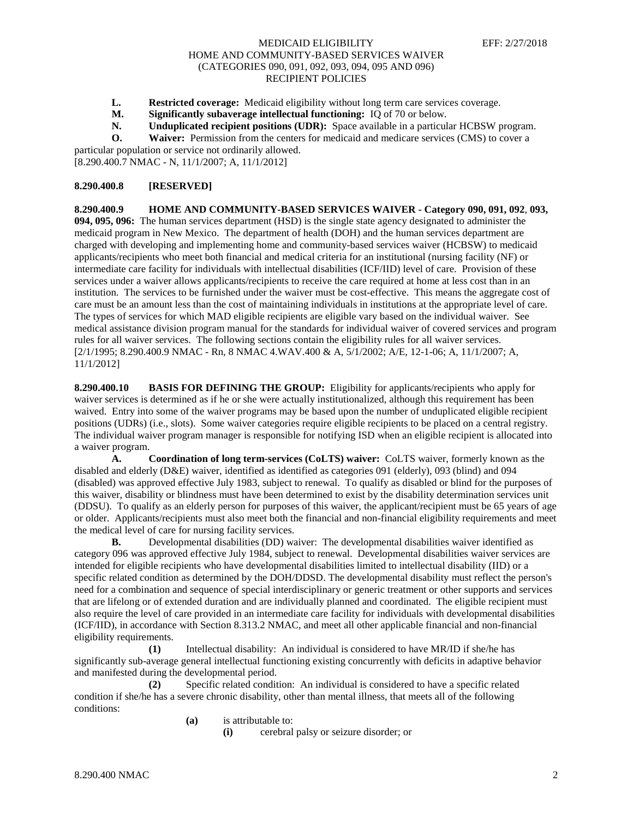- **L. Restricted coverage:** Medicaid eligibility without long term care services coverage.
- **M. Significantly subaverage intellectual functioning:** IQ of 70 or below.<br>**N. Unduplicated recipient positions (UDR):** Space available in a particul
- **Unduplicated recipient positions (UDR):** Space available in a particular HCBSW program.
- **O. Waiver:** Permission from the centers for medicaid and medicare services (CMS) to cover a

particular population or service not ordinarily allowed. [8.290.400.7 NMAC - N, 11/1/2007; A, 11/1/2012]

#### **8.290.400.8 [RESERVED]**

**8.290.400.9 HOME AND COMMUNITY-BASED SERVICES WAIVER - Category 090, 091, 092**, **093, 094, 095, 096:** The human services department (HSD) is the single state agency designated to administer the medicaid program in New Mexico. The department of health (DOH) and the human services department are charged with developing and implementing home and community-based services waiver (HCBSW) to medicaid applicants/recipients who meet both financial and medical criteria for an institutional (nursing facility (NF) or intermediate care facility for individuals with intellectual disabilities (ICF/IID) level of care. Provision of these services under a waiver allows applicants/recipients to receive the care required at home at less cost than in an institution. The services to be furnished under the waiver must be cost-effective. This means the aggregate cost of care must be an amount less than the cost of maintaining individuals in institutions at the appropriate level of care. The types of services for which MAD eligible recipients are eligible vary based on the individual waiver. See medical assistance division program manual for the standards for individual waiver of covered services and program rules for all waiver services. The following sections contain the eligibility rules for all waiver services. [2/1/1995; 8.290.400.9 NMAC - Rn, 8 NMAC 4.WAV.400 & A, 5/1/2002; A/E, 12-1-06; A, 11/1/2007; A, 11/1/2012]

**8.290.400.10 BASIS FOR DEFINING THE GROUP:** Eligibility for applicants/recipients who apply for waiver services is determined as if he or she were actually institutionalized, although this requirement has been waived. Entry into some of the waiver programs may be based upon the number of unduplicated eligible recipient positions (UDRs) (i.e., slots). Some waiver categories require eligible recipients to be placed on a central registry. The individual waiver program manager is responsible for notifying ISD when an eligible recipient is allocated into a waiver program.

**A. Coordination of long term-services (CoLTS) waiver:** CoLTS waiver, formerly known as the disabled and elderly (D&E) waiver, identified as identified as categories 091 (elderly), 093 (blind) and 094 (disabled) was approved effective July 1983, subject to renewal. To qualify as disabled or blind for the purposes of this waiver, disability or blindness must have been determined to exist by the disability determination services unit (DDSU). To qualify as an elderly person for purposes of this waiver, the applicant/recipient must be 65 years of age or older. Applicants/recipients must also meet both the financial and non-financial eligibility requirements and meet the medical level of care for nursing facility services.

**B.** Developmental disabilities (DD) waiver: The developmental disabilities waiver identified as category 096 was approved effective July 1984, subject to renewal. Developmental disabilities waiver services are intended for eligible recipients who have developmental disabilities limited to intellectual disability (IID) or a specific related condition as determined by the DOH/DDSD. The developmental disability must reflect the person's need for a combination and sequence of special interdisciplinary or generic treatment or other supports and services that are lifelong or of extended duration and are individually planned and coordinated. The eligible recipient must also require the level of care provided in an intermediate care facility for individuals with developmental disabilities (ICF/IID), in accordance with Section 8.313.2 NMAC, and meet all other applicable financial and non-financial eligibility requirements.

**(1)** Intellectual disability: An individual is considered to have MR/ID if she/he has significantly sub-average general intellectual functioning existing concurrently with deficits in adaptive behavior and manifested during the developmental period.

**(2)** Specific related condition: An individual is considered to have a specific related condition if she/he has a severe chronic disability, other than mental illness, that meets all of the following conditions:

**(a)** is attributable to:

**(i)** cerebral palsy or seizure disorder; or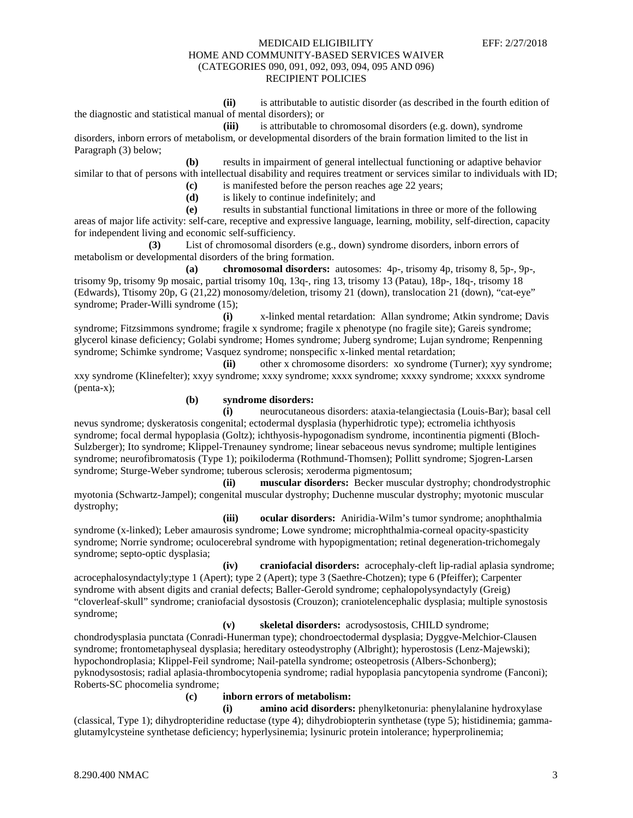**(ii)** is attributable to autistic disorder (as described in the fourth edition of the diagnostic and statistical manual of mental disorders); or

**(iii)** is attributable to chromosomal disorders (e.g. down), syndrome disorders, inborn errors of metabolism, or developmental disorders of the brain formation limited to the list in Paragraph (3) below;

**(b)** results in impairment of general intellectual functioning or adaptive behavior similar to that of persons with intellectual disability and requires treatment or services similar to individuals with ID;

**(c)** is manifested before the person reaches age 22 years;

**(d)** is likely to continue indefinitely; and

**(e)** results in substantial functional limitations in three or more of the following areas of major life activity: self-care, receptive and expressive language, learning, mobility, self-direction, capacity for independent living and economic self-sufficiency.

**(3)** List of chromosomal disorders (e.g., down) syndrome disorders, inborn errors of metabolism or developmental disorders of the bring formation.

**(a) chromosomal disorders:** autosomes: 4p-, trisomy 4p, trisomy 8, 5p-, 9p-, trisomy 9p, trisomy 9p mosaic, partial trisomy 10q, 13q-, ring 13, trisomy 13 (Patau), 18p-, 18q-, trisomy 18 (Edwards), Ttisomy 20p, G (21,22) monosomy/deletion, trisomy 21 (down), translocation 21 (down), "cat-eye" syndrome; Prader-Willi syndrome (15);

**(i)** x-linked mental retardation: Allan syndrome; Atkin syndrome; Davis syndrome; Fitzsimmons syndrome; fragile x syndrome; fragile x phenotype (no fragile site); Gareis syndrome; glycerol kinase deficiency; Golabi syndrome; Homes syndrome; Juberg syndrome; Lujan syndrome; Renpenning syndrome; Schimke syndrome; Vasquez syndrome; nonspecific x-linked mental retardation;

**(ii)** other x chromosome disorders: xo syndrome (Turner); xyy syndrome; xxy syndrome (Klinefelter); xxyy syndrome; xxxy syndrome; xxxx syndrome; xxxxy syndrome; xxxxx syndrome (penta-x);

# **(b) syndrome disorders:**

**(i)** neurocutaneous disorders: ataxia-telangiectasia (Louis-Bar); basal cell nevus syndrome; dyskeratosis congenital; ectodermal dysplasia (hyperhidrotic type); ectromelia ichthyosis syndrome; focal dermal hypoplasia (Goltz); ichthyosis-hypogonadism syndrome, incontinentia pigmenti (Bloch-Sulzberger); Ito syndrome; Klippel-Trenauney syndrome; linear sebaceous nevus syndrome; multiple lentigines syndrome; neurofibromatosis (Type 1); poikiloderma (Rothmund-Thomsen); Pollitt syndrome; Sjogren-Larsen syndrome; Sturge-Weber syndrome; tuberous sclerosis; xeroderma pigmentosum;

**(ii) muscular disorders:** Becker muscular dystrophy; chondrodystrophic myotonia (Schwartz-Jampel); congenital muscular dystrophy; Duchenne muscular dystrophy; myotonic muscular dystrophy;

**(iii) ocular disorders:** Aniridia-Wilm's tumor syndrome; anophthalmia syndrome (x-linked); Leber amaurosis syndrome; Lowe syndrome; microphthalmia-corneal opacity-spasticity syndrome; Norrie syndrome; oculocerebral syndrome with hypopigmentation; retinal degeneration-trichomegaly syndrome; septo-optic dysplasia;

**(iv) craniofacial disorders:** acrocephaly-cleft lip-radial aplasia syndrome; acrocephalosyndactyly;type 1 (Apert); type 2 (Apert); type 3 (Saethre-Chotzen); type 6 (Pfeiffer); Carpenter syndrome with absent digits and cranial defects; Baller-Gerold syndrome; cephalopolysyndactyly (Greig) "cloverleaf-skull" syndrome; craniofacial dysostosis (Crouzon); craniotelencephalic dysplasia; multiple synostosis syndrome;

**(v) skeletal disorders:** acrodysostosis, CHILD syndrome; chondrodysplasia punctata (Conradi-Hunerman type); chondroectodermal dysplasia; Dyggve-Melchior-Clausen syndrome; frontometaphyseal dysplasia; hereditary osteodystrophy (Albright); hyperostosis (Lenz-Majewski); hypochondroplasia; Klippel-Feil syndrome; Nail-patella syndrome; osteopetrosis (Albers-Schonberg); pyknodysostosis; radial aplasia-thrombocytopenia syndrome; radial hypoplasia pancytopenia syndrome (Fanconi); Roberts-SC phocomelia syndrome;

# **(c) inborn errors of metabolism:**

**(i) amino acid disorders:** phenylketonuria: phenylalanine hydroxylase (classical, Type 1); dihydropteridine reductase (type 4); dihydrobiopterin synthetase (type 5); histidinemia; gammaglutamylcysteine synthetase deficiency; hyperlysinemia; lysinuric protein intolerance; hyperprolinemia;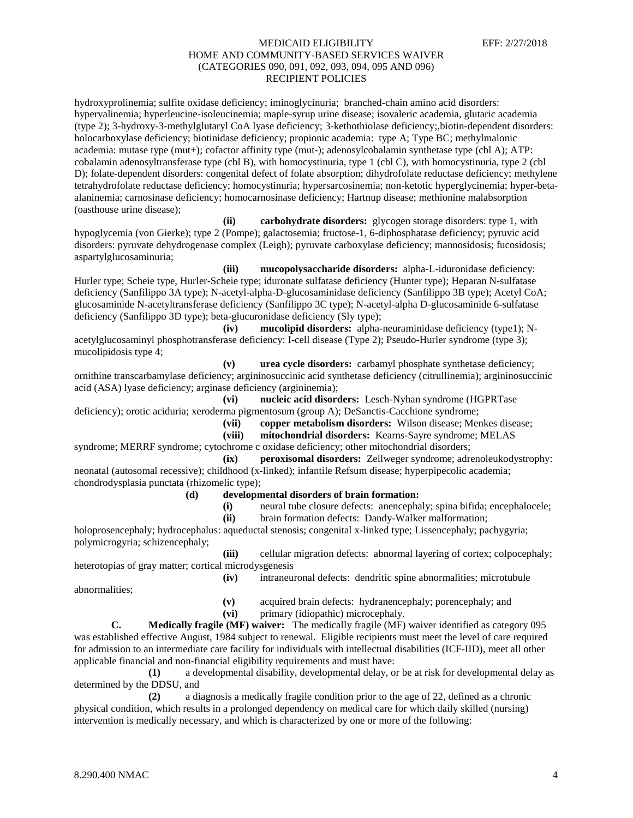hydroxyprolinemia; sulfite oxidase deficiency; iminoglycinuria; branched-chain amino acid disorders: hypervalinemia; hyperleucine-isoleucinemia; maple-syrup urine disease; isovaleric academia, glutaric academia (type 2); 3-hydroxy-3-methylglutaryl CoA lyase deficiency; 3-kethothiolase deficiency;,biotin-dependent disorders: holocarboxylase deficiency; biotinidase deficiency; propionic academia: type A; Type BC; methylmalonic academia: mutase type (mut+); cofactor affinity type (mut-); adenosylcobalamin synthetase type (cbl A); ATP: cobalamin adenosyltransferase type (cbl B), with homocystinuria, type 1 (cbl C), with homocystinuria, type 2 (cbl D); folate-dependent disorders: congenital defect of folate absorption; dihydrofolate reductase deficiency; methylene tetrahydrofolate reductase deficiency; homocystinuria; hypersarcosinemia; non-ketotic hyperglycinemia; hyper-betaalaninemia; carnosinase deficiency; homocarnosinase deficiency; Hartnup disease; methionine malabsorption (oasthouse urine disease);

**(ii) carbohydrate disorders:** glycogen storage disorders: type 1, with hypoglycemia (von Gierke); type 2 (Pompe); galactosemia; fructose-1, 6-diphosphatase deficiency; pyruvic acid disorders: pyruvate dehydrogenase complex (Leigh); pyruvate carboxylase deficiency; mannosidosis; fucosidosis; aspartylglucosaminuria;

**(iii) mucopolysaccharide disorders:** alpha-L-iduronidase deficiency: Hurler type; Scheie type, Hurler-Scheie type; iduronate sulfatase deficiency (Hunter type); Heparan N-sulfatase deficiency (Sanfilippo 3A type); N-acetyl-alpha-D-glucosaminidase deficiency (Sanfilippo 3B type); Acetyl CoA; glucosaminide N-acetyltransferase deficiency (Sanfilippo 3C type); N-acetyl-alpha D-glucosaminide 6-sulfatase deficiency (Sanfilippo 3D type); beta-glucuronidase deficiency (Sly type);

**(iv) mucolipid disorders:** alpha-neuraminidase deficiency (type1); Nacetylglucosaminyl phosphotransferase deficiency: I-cell disease (Type 2); Pseudo-Hurler syndrome (type 3); mucolipidosis type 4;

**(v) urea cycle disorders:** carbamyl phosphate synthetase deficiency; ornithine transcarbamylase deficiency; argininosuccinic acid synthetase deficiency (citrullinemia); argininosuccinic acid (ASA) lyase deficiency; arginase deficiency (argininemia);

**(vi) nucleic acid disorders:** Lesch-Nyhan syndrome (HGPRTase deficiency); orotic aciduria; xeroderma pigmentosum (group A); DeSanctis-Cacchione syndrome;

**(vii) copper metabolism disorders:** Wilson disease; Menkes disease;

**(viii) mitochondrial disorders:** Kearns-Sayre syndrome; MELAS

syndrome; MERRF syndrome; cytochrome c oxidase deficiency; other mitochondrial disorders;

**(ix) peroxisomal disorders:** Zellweger syndrome; adrenoleukodystrophy: neonatal (autosomal recessive); childhood (x-linked); infantile Refsum disease; hyperpipecolic academia; chondrodysplasia punctata (rhizomelic type);

**(d) developmental disorders of brain formation:**

- **(i)** neural tube closure defects: anencephaly; spina bifida; encephalocele;
- **(ii)** brain formation defects: Dandy-Walker malformation;

holoprosencephaly; hydrocephalus: aqueductal stenosis; congenital x-linked type; Lissencephaly; pachygyria; polymicrogyria; schizencephaly;

**(iii)** cellular migration defects: abnormal layering of cortex; colpocephaly; heterotopias of gray matter; cortical microdysgenesis **(iv)** intraneuronal defects: dendritic spine abnormalities; microtubule

abnormalities;

**(v)** acquired brain defects: hydranencephaly; porencephaly; and

**(vi)** primary (idiopathic) microcephaly.

**C. Medically fragile (MF) waiver:** The medically fragile (MF) waiver identified as category 095 was established effective August, 1984 subject to renewal. Eligible recipients must meet the level of care required for admission to an intermediate care facility for individuals with intellectual disabilities (ICF-IID), meet all other applicable financial and non-financial eligibility requirements and must have:

**(1)** a developmental disability, developmental delay, or be at risk for developmental delay as determined by the DDSU, and

**(2)** a diagnosis a medically fragile condition prior to the age of 22, defined as a chronic physical condition, which results in a prolonged dependency on medical care for which daily skilled (nursing) intervention is medically necessary, and which is characterized by one or more of the following: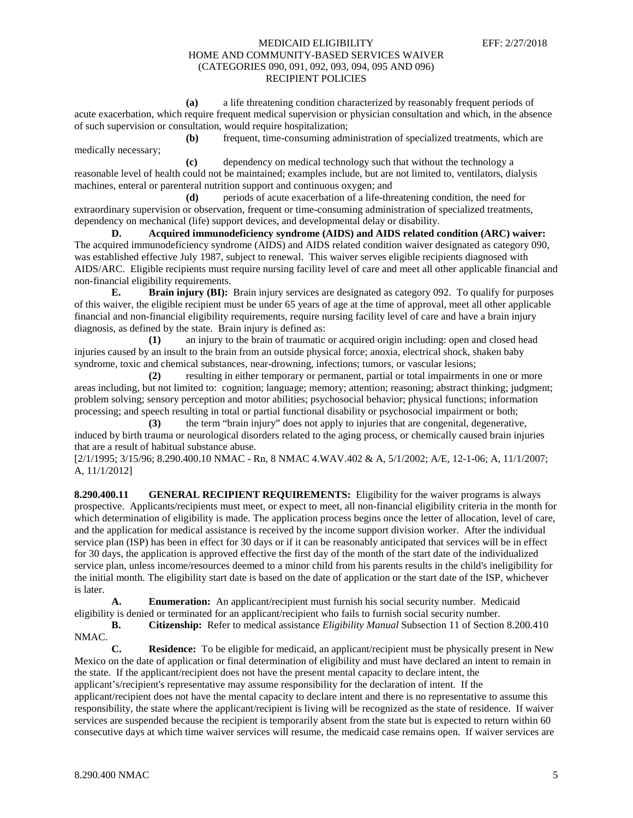**(a)** a life threatening condition characterized by reasonably frequent periods of acute exacerbation, which require frequent medical supervision or physician consultation and which, in the absence of such supervision or consultation, would require hospitalization;

**(b)** frequent, time-consuming administration of specialized treatments, which are medically necessary;

**(c)** dependency on medical technology such that without the technology a reasonable level of health could not be maintained; examples include, but are not limited to, ventilators, dialysis machines, enteral or parenteral nutrition support and continuous oxygen; and

**(d)** periods of acute exacerbation of a life-threatening condition, the need for extraordinary supervision or observation, frequent or time-consuming administration of specialized treatments, dependency on mechanical (life) support devices, and developmental delay or disability.

**D. Acquired immunodeficiency syndrome (AIDS) and AIDS related condition (ARC) waiver:** The acquired immunodeficiency syndrome (AIDS) and AIDS related condition waiver designated as category 090, was established effective July 1987, subject to renewal. This waiver serves eligible recipients diagnosed with AIDS/ARC. Eligible recipients must require nursing facility level of care and meet all other applicable financial and non-financial eligibility requirements.

**E. Brain injury (BI):** Brain injury services are designated as category 092. To qualify for purposes of this waiver, the eligible recipient must be under 65 years of age at the time of approval, meet all other applicable financial and non-financial eligibility requirements, require nursing facility level of care and have a brain injury diagnosis, as defined by the state. Brain injury is defined as:

**(1)** an injury to the brain of traumatic or acquired origin including: open and closed head injuries caused by an insult to the brain from an outside physical force; anoxia, electrical shock, shaken baby syndrome, toxic and chemical substances, near-drowning, infections; tumors, or vascular lesions;

**(2)** resulting in either temporary or permanent, partial or total impairments in one or more areas including, but not limited to: cognition; language; memory; attention; reasoning; abstract thinking; judgment; problem solving; sensory perception and motor abilities; psychosocial behavior; physical functions; information processing; and speech resulting in total or partial functional disability or psychosocial impairment or both;

**(3)** the term "brain injury" does not apply to injuries that are congenital, degenerative, induced by birth trauma or neurological disorders related to the aging process, or chemically caused brain injuries that are a result of habitual substance abuse.

[2/1/1995; 3/15/96; 8.290.400.10 NMAC - Rn, 8 NMAC 4.WAV.402 & A, 5/1/2002; A/E, 12-1-06; A, 11/1/2007; A, 11/1/2012]

**8.290.400.11 GENERAL RECIPIENT REQUIREMENTS:** Eligibility for the waiver programs is always prospective. Applicants/recipients must meet, or expect to meet, all non-financial eligibility criteria in the month for which determination of eligibility is made. The application process begins once the letter of allocation, level of care, and the application for medical assistance is received by the income support division worker. After the individual service plan (ISP) has been in effect for 30 days or if it can be reasonably anticipated that services will be in effect for 30 days, the application is approved effective the first day of the month of the start date of the individualized service plan, unless income/resources deemed to a minor child from his parents results in the child's ineligibility for the initial month. The eligibility start date is based on the date of application or the start date of the ISP, whichever is later.

**A. Enumeration:** An applicant/recipient must furnish his social security number. Medicaid eligibility is denied or terminated for an applicant/recipient who fails to furnish social security number.

**B. Citizenship:** Refer to medical assistance *Eligibility Manual* Subsection 11 of Section 8.200.410 NMAC.

**C. Residence:** To be eligible for medicaid, an applicant/recipient must be physically present in New Mexico on the date of application or final determination of eligibility and must have declared an intent to remain in the state. If the applicant/recipient does not have the present mental capacity to declare intent, the applicant's/recipient's representative may assume responsibility for the declaration of intent. If the applicant/recipient does not have the mental capacity to declare intent and there is no representative to assume this responsibility, the state where the applicant/recipient is living will be recognized as the state of residence. If waiver services are suspended because the recipient is temporarily absent from the state but is expected to return within 60 consecutive days at which time waiver services will resume, the medicaid case remains open. If waiver services are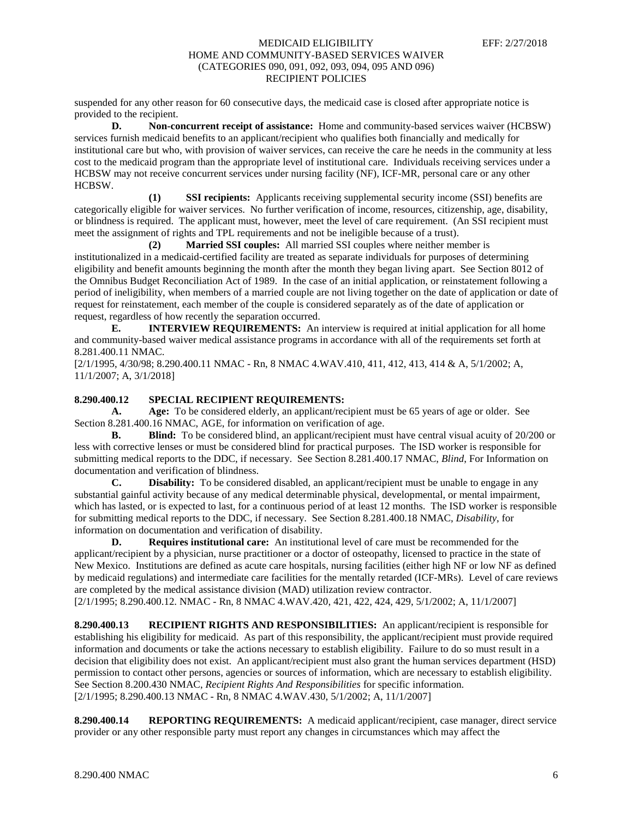suspended for any other reason for 60 consecutive days, the medicaid case is closed after appropriate notice is provided to the recipient.

**D. Non-concurrent receipt of assistance:** Home and community-based services waiver (HCBSW) services furnish medicaid benefits to an applicant/recipient who qualifies both financially and medically for institutional care but who, with provision of waiver services, can receive the care he needs in the community at less cost to the medicaid program than the appropriate level of institutional care. Individuals receiving services under a HCBSW may not receive concurrent services under nursing facility (NF), ICF-MR, personal care or any other HCBSW.

**(1) SSI recipients:** Applicants receiving supplemental security income (SSI) benefits are categorically eligible for waiver services. No further verification of income, resources, citizenship, age, disability, or blindness is required. The applicant must, however, meet the level of care requirement. (An SSI recipient must meet the assignment of rights and TPL requirements and not be ineligible because of a trust).

**(2) Married SSI couples:** All married SSI couples where neither member is institutionalized in a medicaid-certified facility are treated as separate individuals for purposes of determining eligibility and benefit amounts beginning the month after the month they began living apart. See Section 8012 of the Omnibus Budget Reconciliation Act of 1989. In the case of an initial application, or reinstatement following a period of ineligibility, when members of a married couple are not living together on the date of application or date of request for reinstatement, each member of the couple is considered separately as of the date of application or request, regardless of how recently the separation occurred.

**E. INTERVIEW REQUIREMENTS:** An interview is required at initial application for all home and community-based waiver medical assistance programs in accordance with all of the requirements set forth at 8.281.400.11 NMAC.

[2/1/1995, 4/30/98; 8.290.400.11 NMAC - Rn, 8 NMAC 4.WAV.410, 411, 412, 413, 414 & A, 5/1/2002; A, 11/1/2007; A, 3/1/2018]

# **8.290.400.12 SPECIAL RECIPIENT REQUIREMENTS:**

**A. Age:** To be considered elderly, an applicant/recipient must be 65 years of age or older. See Section 8.281.400.16 NMAC, AGE, for information on verification of age.

**B. Blind:** To be considered blind, an applicant/recipient must have central visual acuity of 20/200 or less with corrective lenses or must be considered blind for practical purposes. The ISD worker is responsible for submitting medical reports to the DDC, if necessary. See Section 8.281.400.17 NMAC, *Blind*, For Information on documentation and verification of blindness.

**C. Disability:** To be considered disabled, an applicant/recipient must be unable to engage in any substantial gainful activity because of any medical determinable physical, developmental, or mental impairment, which has lasted, or is expected to last, for a continuous period of at least 12 months. The ISD worker is responsible for submitting medical reports to the DDC, if necessary. See Section 8.281.400.18 NMAC, *Disability*, for information on documentation and verification of disability.

**D. Requires institutional care:** An institutional level of care must be recommended for the applicant/recipient by a physician, nurse practitioner or a doctor of osteopathy, licensed to practice in the state of New Mexico. Institutions are defined as acute care hospitals, nursing facilities (either high NF or low NF as defined by medicaid regulations) and intermediate care facilities for the mentally retarded (ICF-MRs). Level of care reviews are completed by the medical assistance division (MAD) utilization review contractor.

[2/1/1995; 8.290.400.12. NMAC - Rn, 8 NMAC 4.WAV.420, 421, 422, 424, 429, 5/1/2002; A, 11/1/2007]

**8.290.400.13 RECIPIENT RIGHTS AND RESPONSIBILITIES:** An applicant/recipient is responsible for establishing his eligibility for medicaid. As part of this responsibility, the applicant/recipient must provide required information and documents or take the actions necessary to establish eligibility. Failure to do so must result in a decision that eligibility does not exist. An applicant/recipient must also grant the human services department (HSD) permission to contact other persons, agencies or sources of information, which are necessary to establish eligibility. See Section 8.200.430 NMAC, *Recipient Rights And Responsibilities* for specific information. [2/1/1995; 8.290.400.13 NMAC - Rn, 8 NMAC 4.WAV.430, 5/1/2002; A, 11/1/2007]

**8.290.400.14 REPORTING REQUIREMENTS:** A medicaid applicant/recipient, case manager, direct service provider or any other responsible party must report any changes in circumstances which may affect the